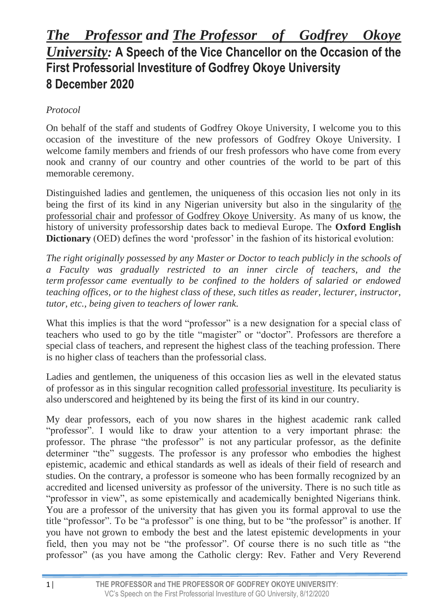## *The Professor and The Professor of Godfrey Okoye University:* **A Speech of the Vice Chancellor on the Occasion of the First Professorial Investiture of Godfrey Okoye University 8 December 2020**

## *Protocol*

On behalf of the staff and students of Godfrey Okoye University, I welcome you to this occasion of the investiture of the new professors of Godfrey Okoye University. I welcome family members and friends of our fresh professors who have come from every nook and cranny of our country and other countries of the world to be part of this memorable ceremony.

Distinguished ladies and gentlemen, the uniqueness of this occasion lies not only in its being the first of its kind in any Nigerian university but also in the singularity of the professorial chair and professor of Godfrey Okoye University. As many of us know, the history of university professorship dates back to medieval Europe. The **Oxford English Dictionary** (OED) defines the word 'professor' in the fashion of its historical evolution:

*The right originally possessed by any Master or Doctor to teach publicly in the schools of a Faculty was gradually restricted to an inner circle of teachers, and the term professor came eventually to be confined to the holders of salaried or endowed teaching offices, or to the highest class of these, such titles as reader, lecturer, instructor, tutor, etc., being given to teachers of lower rank.*

What this implies is that the word "professor" is a new designation for a special class of teachers who used to go by the title "magister" or "doctor". Professors are therefore a special class of teachers, and represent the highest class of the teaching profession. There is no higher class of teachers than the professorial class.

Ladies and gentlemen, the uniqueness of this occasion lies as well in the elevated status of professor as in this singular recognition called professorial investiture. Its peculiarity is also underscored and heightened by its being the first of its kind in our country.

My dear professors, each of you now shares in the highest academic rank called "professor". I would like to draw your attention to a very important phrase: the professor. The phrase "the professor" is not any particular professor, as the definite determiner "the" suggests. The professor is any professor who embodies the highest epistemic, academic and ethical standards as well as ideals of their field of research and studies. On the contrary, a professor is someone who has been formally recognized by an accredited and licensed university as professor of the university. There is no such title as "professor in view", as some epistemically and academically benighted Nigerians think. You are a professor of the university that has given you its formal approval to use the title "professor". To be "a professor" is one thing, but to be "the professor" is another. If you have not grown to embody the best and the latest epistemic developments in your field, then you may not be "the professor". Of course there is no such title as "the professor" (as you have among the Catholic clergy: Rev. Father and Very Reverend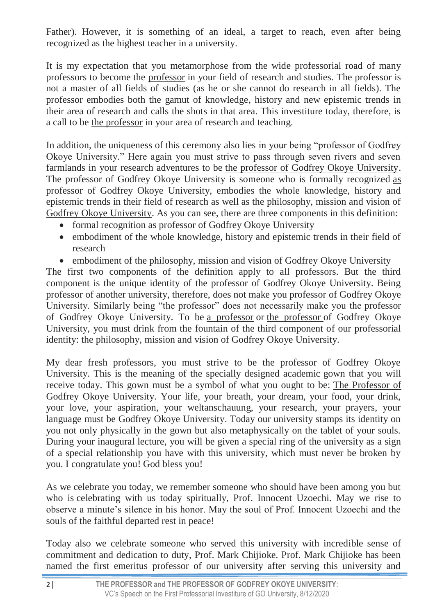Father). However, it is something of an ideal, a target to reach, even after being recognized as the highest teacher in a university.

It is my expectation that you metamorphose from the wide professorial road of many professors to become the professor in your field of research and studies. The professor is not a master of all fields of studies (as he or she cannot do research in all fields). The professor embodies both the gamut of knowledge, history and new epistemic trends in their area of research and calls the shots in that area. This investiture today, therefore, is a call to be the professor in your area of research and teaching.

In addition, the uniqueness of this ceremony also lies in your being "professor of Godfrey Okoye University." Here again you must strive to pass through seven rivers and seven farmlands in your research adventures to be the professor of Godfrey Okoye University. The professor of Godfrey Okoye University is someone who is formally recognized as professor of Godfrey Okoye University, embodies the whole knowledge, history and epistemic trends in their field of research as well as the philosophy, mission and vision of Godfrey Okoye University. As you can see, there are three components in this definition:

- formal recognition as professor of Godfrey Okoye University
- embodiment of the whole knowledge, history and epistemic trends in their field of research
- embodiment of the philosophy, mission and vision of Godfrey Okoye University

The first two components of the definition apply to all professors. But the third component is the unique identity of the professor of Godfrey Okoye University. Being professor of another university, therefore, does not make you professor of Godfrey Okoye University. Similarly being "the professor" does not necessarily make you the professor of Godfrey Okoye University. To be a professor or the professor of Godfrey Okoye University, you must drink from the fountain of the third component of our professorial identity: the philosophy, mission and vision of Godfrey Okoye University.

My dear fresh professors, you must strive to be the professor of Godfrey Okoye University. This is the meaning of the specially designed academic gown that you will receive today. This gown must be a symbol of what you ought to be: The Professor of Godfrey Okoye University. Your life, your breath, your dream, your food, your drink, your love, your aspiration, your weltanschauung, your research, your prayers, your language must be Godfrey Okoye University. Today our university stamps its identity on you not only physically in the gown but also metaphysically on the tablet of your souls. During your inaugural lecture, you will be given a special ring of the university as a sign of a special relationship you have with this university, which must never be broken by you. I congratulate you! God bless you!

As we celebrate you today, we remember someone who should have been among you but who is celebrating with us today spiritually, Prof. Innocent Uzoechi. May we rise to observe a minute's silence in his honor. May the soul of Prof. Innocent Uzoechi and the souls of the faithful departed rest in peace!

Today also we celebrate someone who served this university with incredible sense of commitment and dedication to duty, Prof. Mark Chijioke. Prof. Mark Chijioke has been named the first emeritus professor of our university after serving this university and